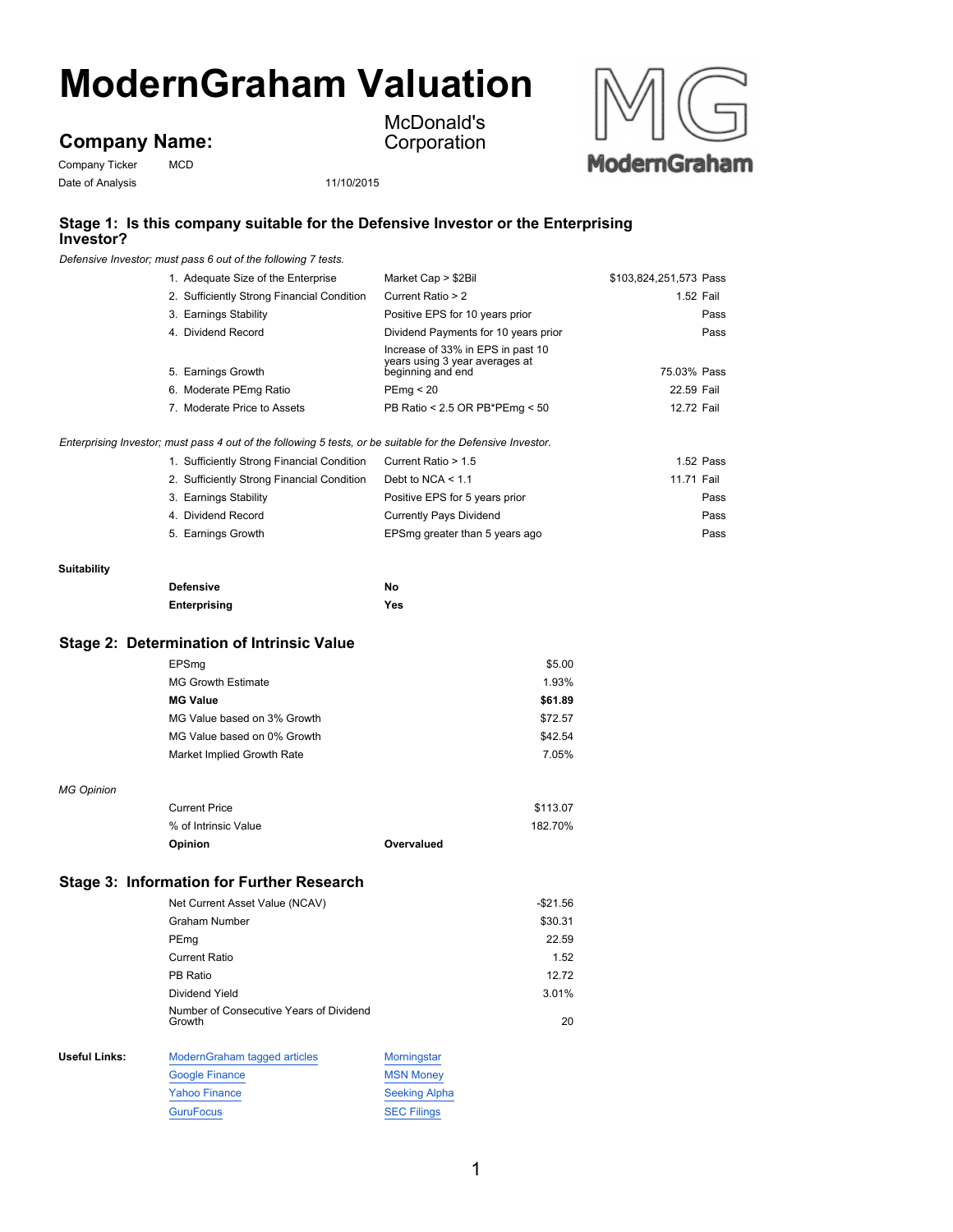# **ModernGraham Valuation**

## **Company Name:**

Company Ticker MCD Date of Analysis 11/10/2015

McDonald's **Corporation** 



### **Stage 1: Is this company suitable for the Defensive Investor or the Enterprising Investor?**

*Defensive Investor; must pass 6 out of the following 7 tests.*

| 1. Adequate Size of the Enterprise                                                                          | Market Cap > \$2Bil                                                                      | \$103,824,251,573 Pass |
|-------------------------------------------------------------------------------------------------------------|------------------------------------------------------------------------------------------|------------------------|
| 2. Sufficiently Strong Financial Condition                                                                  | Current Ratio > 2                                                                        | 1.52 Fail              |
| 3. Earnings Stability                                                                                       | Positive EPS for 10 years prior                                                          | Pass                   |
| 4. Dividend Record                                                                                          | Dividend Payments for 10 years prior                                                     | Pass                   |
| 5. Earnings Growth                                                                                          | Increase of 33% in EPS in past 10<br>years using 3 year averages at<br>beginning and end | 75.03% Pass            |
| 6. Moderate PEmg Ratio                                                                                      | PEmq < 20                                                                                | 22.59 Fail             |
| 7. Moderate Price to Assets                                                                                 | PB Ratio < 2.5 OR PB*PEmg < 50                                                           | 12.72 Fail             |
| Enterprising Investor; must pass 4 out of the following 5 tests, or be suitable for the Defensive Investor. |                                                                                          |                        |
| 1. Sufficiently Strong Financial Condition                                                                  | Current Ratio > 1.5                                                                      | 1.52 Pass              |
| 2. Sufficiently Strong Financial Condition                                                                  | Debt to NCA $<$ 1.1                                                                      | 11.71 Fail             |
| 3. Earnings Stability                                                                                       | Positive EPS for 5 years prior                                                           | Pass                   |
| 4. Dividend Record                                                                                          | <b>Currently Pays Dividend</b>                                                           | Pass                   |
| 5. Earnings Growth                                                                                          | EPSmg greater than 5 years ago                                                           | Pass                   |
|                                                                                                             |                                                                                          |                        |

#### **Suitability**

| <b>Defensive</b> | No  |
|------------------|-----|
| Enterprising     | Yes |

#### **Stage 2: Determination of Intrinsic Value**

|                   | EPSmq                                            |            | \$5.00   |
|-------------------|--------------------------------------------------|------------|----------|
|                   | <b>MG Growth Estimate</b>                        |            | 1.93%    |
|                   | <b>MG Value</b>                                  |            | \$61.89  |
|                   | MG Value based on 3% Growth                      |            | \$72.57  |
|                   | MG Value based on 0% Growth                      |            | \$42.54  |
|                   | Market Implied Growth Rate                       |            | 7.05%    |
|                   |                                                  |            |          |
| <b>MG Opinion</b> |                                                  |            |          |
|                   | <b>Current Price</b>                             |            | \$113.07 |
|                   | % of Intrinsic Value                             | 182.70%    |          |
|                   | Opinion                                          | Overvalued |          |
|                   | <b>Stage 3: Information for Further Research</b> |            |          |

|               | Net Current Asset Value (NCAV)                    |             | $-$ \$21.56 |
|---------------|---------------------------------------------------|-------------|-------------|
|               | Graham Number                                     |             | \$30.31     |
|               | PEmg                                              |             | 22.59       |
|               | <b>Current Ratio</b>                              |             | 1.52        |
|               | PB Ratio                                          |             | 12.72       |
|               | Dividend Yield                                    |             | 3.01%       |
|               | Number of Consecutive Years of Dividend<br>Growth |             | 20          |
| Useful Links: | ModernGraham tagged articles                      | Morningstar |             |
|               |                                                   |             |             |

| <b>Google Finance</b> | <b>MSN Monev</b>     |
|-----------------------|----------------------|
| <b>Yahoo Finance</b>  | <b>Seeking Alpha</b> |
| <b>GuruFocus</b>      | <b>SEC Filings</b>   |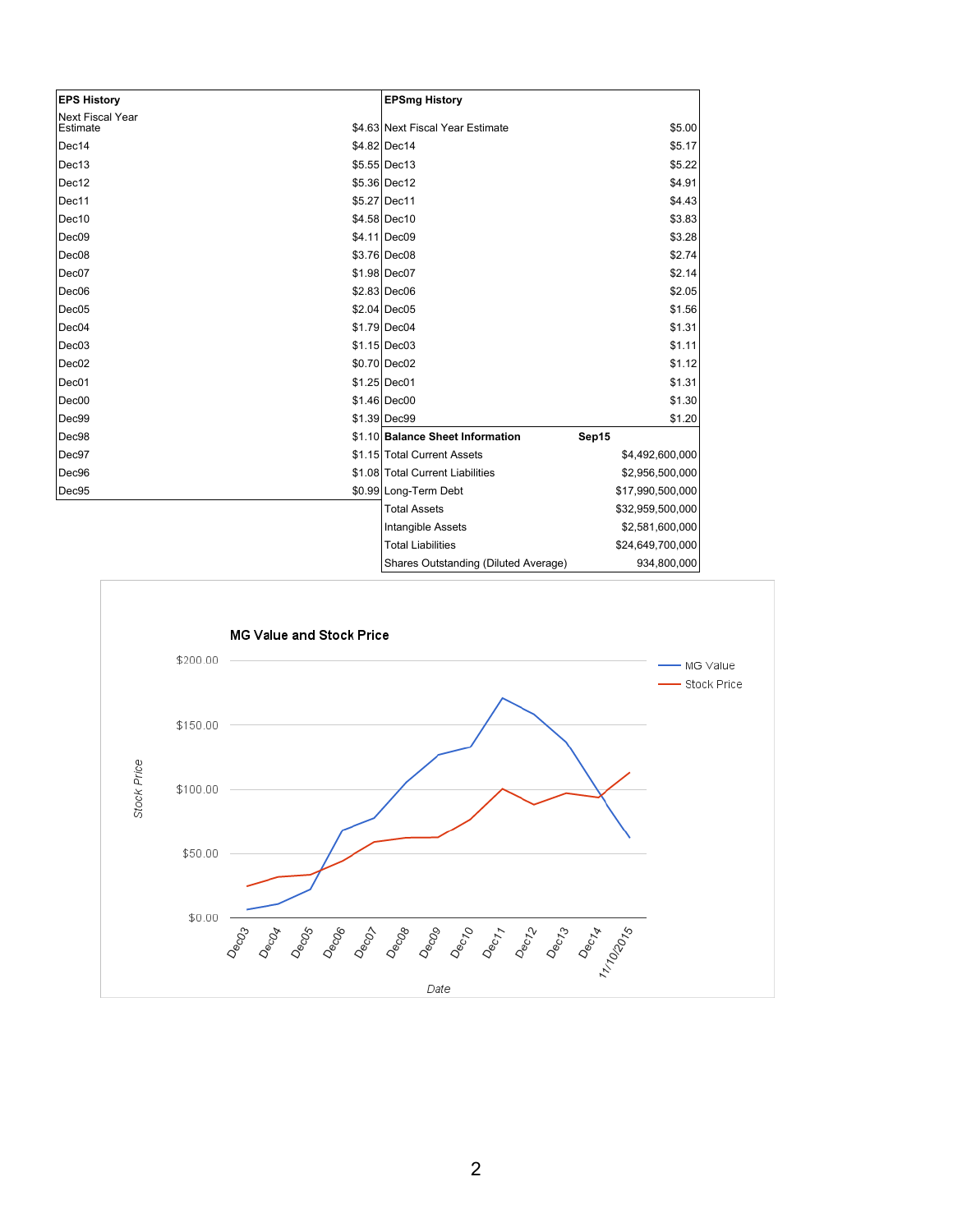| <b>EPS History</b>                  | <b>EPSmg History</b>             |                  |
|-------------------------------------|----------------------------------|------------------|
| <b>Next Fiscal Year</b><br>Estimate | \$4.63 Next Fiscal Year Estimate | \$5.00           |
| Dec14                               | \$4.82 Dec14                     | \$5.17           |
| Dec13                               | \$5.55 Dec13                     | \$5.22           |
| Dec12                               | \$5.36 Dec12                     | \$4.91           |
| Dec11                               | \$5.27 Dec11                     | \$4.43           |
| Dec10                               | \$4.58 Dec10                     | \$3.83           |
| Dec <sub>09</sub>                   | \$4.11 Dec09                     | \$3.28           |
| Dec <sub>08</sub>                   | \$3.76 Dec08                     | \$2.74           |
| Dec07                               | \$1.98 Dec07                     | \$2.14           |
| Dec <sub>06</sub>                   | \$2.83 Dec06                     | \$2.05           |
| Dec <sub>05</sub>                   | \$2.04 Dec05                     | \$1.56           |
| Dec04                               | \$1.79 Dec04                     | \$1.31           |
| Dec03                               | \$1.15 Dec03                     | \$1.11           |
| Dec <sub>02</sub>                   | \$0.70 Dec02                     | \$1.12           |
| Dec01                               | \$1.25 Dec01                     | \$1.31           |
| Dec00                               | \$1.46 Dec00                     | \$1.30           |
| Dec99                               | \$1.39 Dec99                     | \$1.20           |
| Dec98                               | \$1.10 Balance Sheet Information | Sep15            |
| Dec97                               | \$1.15 Total Current Assets      | \$4,492,600,000  |
| Dec96                               | \$1.08 Total Current Liabilities | \$2,956,500,000  |
| Dec95                               | \$0.99 Long-Term Debt            | \$17,990,500,000 |
|                                     | <b>Total Assets</b>              | \$32,959,500,000 |
|                                     | Intangible Assets                | \$2,581,600,000  |
|                                     | <b>Total Liabilities</b>         | \$24,649,700,000 |
|                                     |                                  |                  |